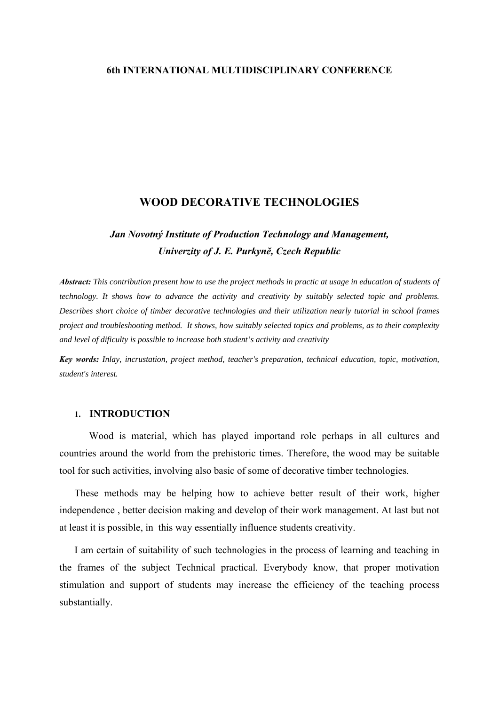## **6th INTERNATIONAL MULTIDISCIPLINARY CONFERENCE**

## **WOOD DECORATIVE TECHNOLOGIES**

# *Jan Novotný Institute of Production Technology and Management, Univerzity of J. E. Purkyně, Czech Republic*

*Abstract: This contribution present how to use the project methods in practic at usage in education of students of technology. It shows how to advance the activity and creativity by suitably selected topic and problems. Describes short choice of timber decorative technologies and their utilization nearly tutorial in school frames project and troubleshooting method. It shows, how suitably selected topics and problems, as to their complexity and level of dificulty is possible to increase both student's activity and creativity* 

*Key words: Inlay, incrustation, project method, teacher's preparation, technical education, topic, motivation, student's interest.* 

#### **1. INTRODUCTION**

 Wood is material, which has played importand role perhaps in all cultures and countries around the world from the prehistoric times. Therefore, the wood may be suitable tool for such activities, involving also basic of some of decorative timber technologies.

These methods may be helping how to achieve better result of their work, higher independence , better decision making and develop of their work management. At last but not at least it is possible, in this way essentially influence students creativity.

I am certain of suitability of such technologies in the process of learning and teaching in the frames of the subject Technical practical. Everybody know, that proper motivation stimulation and support of students may increase the efficiency of the teaching process substantially.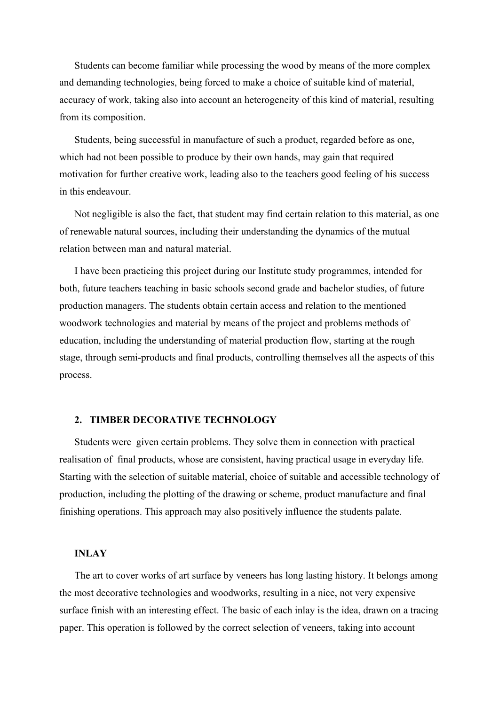Students can become familiar while processing the wood by means of the more complex and demanding technologies, being forced to make a choice of suitable kind of material, accuracy of work, taking also into account an heterogeneity of this kind of material, resulting from its composition.

Students, being successful in manufacture of such a product, regarded before as one, which had not been possible to produce by their own hands, may gain that required motivation for further creative work, leading also to the teachers good feeling of his success in this endeavour.

Not negligible is also the fact, that student may find certain relation to this material, as one of renewable natural sources, including their understanding the dynamics of the mutual relation between man and natural material.

I have been practicing this project during our Institute study programmes, intended for both, future teachers teaching in basic schools second grade and bachelor studies, of future production managers. The students obtain certain access and relation to the mentioned woodwork technologies and material by means of the project and problems methods of education, including the understanding of material production flow, starting at the rough stage, through semi-products and final products, controlling themselves all the aspects of this process.

## **2. TIMBER DECORATIVE TECHNOLOGY**

Students were given certain problems. They solve them in connection with practical realisation of final products, whose are consistent, having practical usage in everyday life. Starting with the selection of suitable material, choice of suitable and accessible technology of production, including the plotting of the drawing or scheme, product manufacture and final finishing operations. This approach may also positively influence the students palate.

### **INLAY**

The art to cover works of art surface by veneers has long lasting history. It belongs among the most decorative technologies and woodworks, resulting in a nice, not very expensive surface finish with an interesting effect. The basic of each inlay is the idea, drawn on a tracing paper. This operation is followed by the correct selection of veneers, taking into account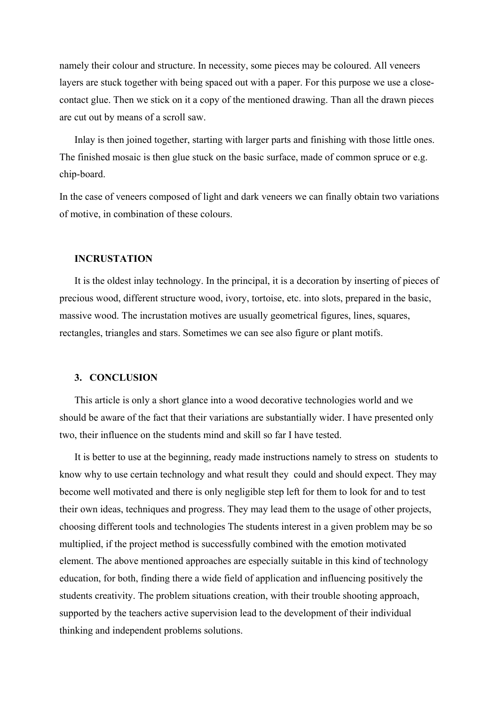namely their colour and structure. In necessity, some pieces may be coloured. All veneers layers are stuck together with being spaced out with a paper. For this purpose we use a closecontact glue. Then we stick on it a copy of the mentioned drawing. Than all the drawn pieces are cut out by means of a scroll saw.

Inlay is then joined together, starting with larger parts and finishing with those little ones. The finished mosaic is then glue stuck on the basic surface, made of common spruce or e.g. chip-board.

In the case of veneers composed of light and dark veneers we can finally obtain two variations of motive, in combination of these colours.

#### **INCRUSTATION**

It is the oldest inlay technology. In the principal, it is a decoration by inserting of pieces of precious wood, different structure wood, ivory, tortoise, etc. into slots, prepared in the basic, massive wood. The incrustation motives are usually geometrical figures, lines, squares, rectangles, triangles and stars. Sometimes we can see also figure or plant motifs.

#### **3. CONCLUSION**

This article is only a short glance into a wood decorative technologies world and we should be aware of the fact that their variations are substantially wider. I have presented only two, their influence on the students mind and skill so far I have tested.

It is better to use at the beginning, ready made instructions namely to stress on students to know why to use certain technology and what result they could and should expect. They may become well motivated and there is only negligible step left for them to look for and to test their own ideas, techniques and progress. They may lead them to the usage of other projects, choosing different tools and technologies The students interest in a given problem may be so multiplied, if the project method is successfully combined with the emotion motivated element. The above mentioned approaches are especially suitable in this kind of technology education, for both, finding there a wide field of application and influencing positively the students creativity. The problem situations creation, with their trouble shooting approach, supported by the teachers active supervision lead to the development of their individual thinking and independent problems solutions.